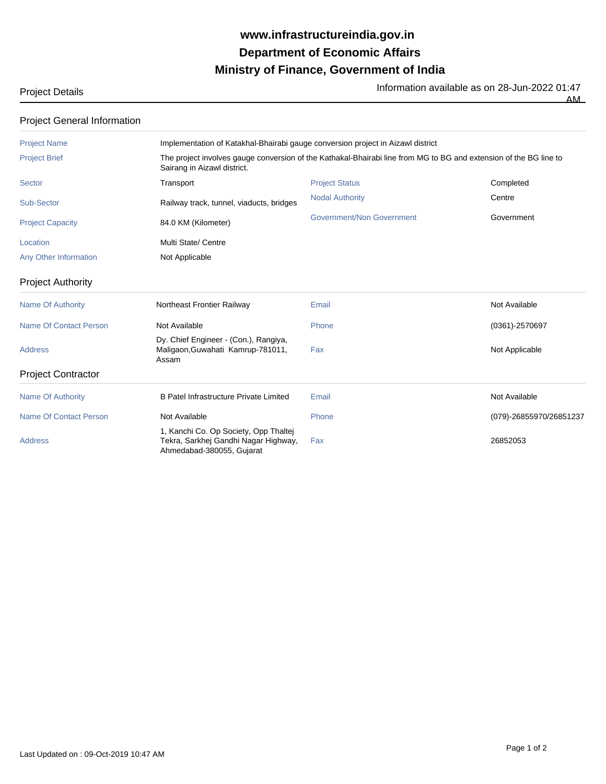## **Ministry of Finance, Government of India Department of Economic Affairs www.infrastructureindia.gov.in**

Information available as on 28-Jun-2022 01:47

 $AM$ 

| Project Details |  |
|-----------------|--|
|-----------------|--|

| <b>Project General Information</b> |                                                                                                                                                  |                           |                         |  |  |
|------------------------------------|--------------------------------------------------------------------------------------------------------------------------------------------------|---------------------------|-------------------------|--|--|
| <b>Project Name</b>                | Implementation of Katakhal-Bhairabi gauge conversion project in Aizawl district                                                                  |                           |                         |  |  |
| <b>Project Brief</b>               | The project involves gauge conversion of the Kathakal-Bhairabi line from MG to BG and extension of the BG line to<br>Sairang in Aizawl district. |                           |                         |  |  |
| Sector                             | Transport                                                                                                                                        | <b>Project Status</b>     | Completed               |  |  |
| Sub-Sector                         | Railway track, tunnel, viaducts, bridges                                                                                                         | <b>Nodal Authority</b>    | Centre                  |  |  |
| <b>Project Capacity</b>            | 84.0 KM (Kilometer)                                                                                                                              | Government/Non Government | Government              |  |  |
| Location                           | Multi State/ Centre                                                                                                                              |                           |                         |  |  |
| Any Other Information              | Not Applicable                                                                                                                                   |                           |                         |  |  |
| <b>Project Authority</b>           |                                                                                                                                                  |                           |                         |  |  |
| <b>Name Of Authority</b>           | Northeast Frontier Railway                                                                                                                       | Email                     | Not Available           |  |  |
| Name Of Contact Person             | Not Available                                                                                                                                    | Phone                     | (0361)-2570697          |  |  |
| <b>Address</b>                     | Dy. Chief Engineer - (Con.), Rangiya,<br>Maligaon, Guwahati Kamrup-781011,<br>Assam                                                              | Fax                       | Not Applicable          |  |  |
| <b>Project Contractor</b>          |                                                                                                                                                  |                           |                         |  |  |
| <b>Name Of Authority</b>           | B Patel Infrastructure Private Limited                                                                                                           | Email                     | Not Available           |  |  |
| <b>Name Of Contact Person</b>      | Not Available                                                                                                                                    | Phone                     | (079)-26855970/26851237 |  |  |
| <b>Address</b>                     | 1, Kanchi Co. Op Society, Opp Thaltej<br>Tekra, Sarkhej Gandhi Nagar Highway,<br>Ahmedabad-380055, Gujarat                                       | Fax                       | 26852053                |  |  |